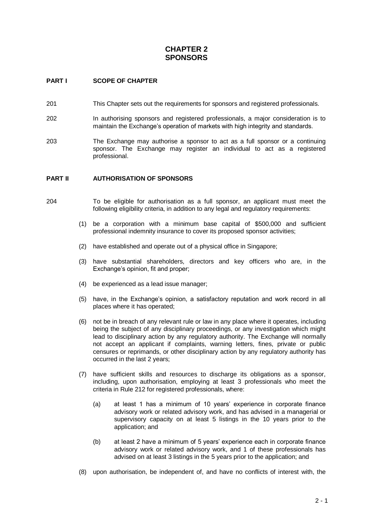# **CHAPTER 2 SPONSORS**

## **PART I SCOPE OF CHAPTER**

- 201 This Chapter sets out the requirements for sponsors and registered professionals.
- 202 In authorising sponsors and registered professionals, a major consideration is to maintain the Exchange's operation of markets with high integrity and standards.
- 203 The Exchange may authorise a sponsor to act as a full sponsor or a continuing sponsor. The Exchange may register an individual to act as a registered professional.

#### **PART II AUTHORISATION OF SPONSORS**

- 204 To be eligible for authorisation as a full sponsor, an applicant must meet the following eligibility criteria, in addition to any legal and regulatory requirements:
	- (1) be a corporation with a minimum base capital of \$500,000 and sufficient professional indemnity insurance to cover its proposed sponsor activities;
	- (2) have established and operate out of a physical office in Singapore;
	- (3) have substantial shareholders, directors and key officers who are, in the Exchange's opinion, fit and proper;
	- (4) be experienced as a lead issue manager;
	- (5) have, in the Exchange's opinion, a satisfactory reputation and work record in all places where it has operated;
	- (6) not be in breach of any relevant rule or law in any place where it operates, including being the subject of any disciplinary proceedings, or any investigation which might lead to disciplinary action by any regulatory authority. The Exchange will normally not accept an applicant if complaints, warning letters, fines, private or public censures or reprimands, or other disciplinary action by any regulatory authority has occurred in the last 2 years;
	- (7) have sufficient skills and resources to discharge its obligations as a sponsor, including, upon authorisation, employing at least 3 professionals who meet the criteria in Rule 212 for registered professionals, where:
		- (a) at least 1 has a minimum of 10 years' experience in corporate finance advisory work or related advisory work, and has advised in a managerial or supervisory capacity on at least 5 listings in the 10 years prior to the application; and
		- (b) at least 2 have a minimum of 5 years' experience each in corporate finance advisory work or related advisory work, and 1 of these professionals has advised on at least 3 listings in the 5 years prior to the application; and
	- (8) upon authorisation, be independent of, and have no conflicts of interest with, the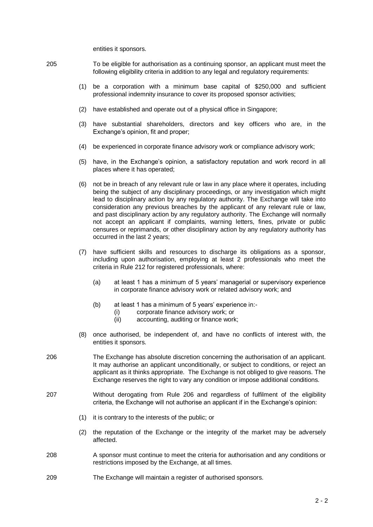entities it sponsors.

- 205 To be eligible for authorisation as a continuing sponsor, an applicant must meet the following eligibility criteria in addition to any legal and regulatory requirements:
	- (1) be a corporation with a minimum base capital of \$250,000 and sufficient professional indemnity insurance to cover its proposed sponsor activities;
	- (2) have established and operate out of a physical office in Singapore;
	- (3) have substantial shareholders, directors and key officers who are, in the Exchange's opinion, fit and proper;
	- (4) be experienced in corporate finance advisory work or compliance advisory work;
	- (5) have, in the Exchange's opinion, a satisfactory reputation and work record in all places where it has operated;
	- (6) not be in breach of any relevant rule or law in any place where it operates, including being the subject of any disciplinary proceedings, or any investigation which might lead to disciplinary action by any regulatory authority. The Exchange will take into consideration any previous breaches by the applicant of any relevant rule or law, and past disciplinary action by any regulatory authority. The Exchange will normally not accept an applicant if complaints, warning letters, fines, private or public censures or reprimands, or other disciplinary action by any regulatory authority has occurred in the last 2 years;
	- (7) have sufficient skills and resources to discharge its obligations as a sponsor, including upon authorisation, employing at least 2 professionals who meet the criteria in Rule 212 for registered professionals, where:
		- (a) at least 1 has a minimum of 5 years' managerial or supervisory experience in corporate finance advisory work or related advisory work; and
		- (b) at least 1 has a minimum of 5 years' experience in:-
			- (i) corporate finance advisory work; or
			- (ii) accounting, auditing or finance work;
	- (8) once authorised, be independent of, and have no conflicts of interest with, the entities it sponsors.
- 206 The Exchange has absolute discretion concerning the authorisation of an applicant. It may authorise an applicant unconditionally, or subject to conditions, or reject an applicant as it thinks appropriate. The Exchange is not obliged to give reasons. The Exchange reserves the right to vary any condition or impose additional conditions.
- 207 Without derogating from Rule 206 and regardless of fulfilment of the eligibility criteria, the Exchange will not authorise an applicant if in the Exchange's opinion:
	- (1) it is contrary to the interests of the public; or
	- (2) the reputation of the Exchange or the integrity of the market may be adversely affected.
- 208 A sponsor must continue to meet the criteria for authorisation and any conditions or restrictions imposed by the Exchange, at all times.
- 209 The Exchange will maintain a register of authorised sponsors.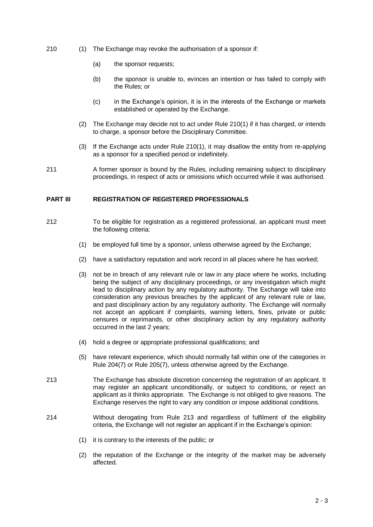- 210 (1) The Exchange may revoke the authorisation of a sponsor if:
	- (a) the sponsor requests;
	- (b) the sponsor is unable to, evinces an intention or has failed to comply with the Rules; or
	- (c) in the Exchange's opinion, it is in the interests of the Exchange or markets established or operated by the Exchange.
	- (2) The Exchange may decide not to act under Rule 210(1) if it has charged, or intends to charge, a sponsor before the Disciplinary Committee.
	- (3) If the Exchange acts under Rule 210(1), it may disallow the entity from re-applying as a sponsor for a specified period or indefinitely.
- 211 A former sponsor is bound by the Rules, including remaining subject to disciplinary proceedings, in respect of acts or omissions which occurred while it was authorised.

#### **PART III REGISTRATION OF REGISTERED PROFESSIONALS**

- 212 To be eligible for registration as a registered professional, an applicant must meet the following criteria:
	- (1) be employed full time by a sponsor, unless otherwise agreed by the Exchange;
	- (2) have a satisfactory reputation and work record in all places where he has worked;
	- (3) not be in breach of any relevant rule or law in any place where he works, including being the subject of any disciplinary proceedings, or any investigation which might lead to disciplinary action by any regulatory authority. The Exchange will take into consideration any previous breaches by the applicant of any relevant rule or law, and past disciplinary action by any regulatory authority. The Exchange will normally not accept an applicant if complaints, warning letters, fines, private or public censures or reprimands, or other disciplinary action by any regulatory authority occurred in the last 2 years;
	- (4) hold a degree or appropriate professional qualifications; and
	- (5) have relevant experience, which should normally fall within one of the categories in Rule 204(7) or Rule 205(7), unless otherwise agreed by the Exchange.
- 213 The Exchange has absolute discretion concerning the registration of an applicant. It may register an applicant unconditionally, or subject to conditions, or reject an applicant as it thinks appropriate. The Exchange is not obliged to give reasons. The Exchange reserves the right to vary any condition or impose additional conditions.
- 214 Without derogating from Rule 213 and regardless of fulfilment of the eligibility criteria, the Exchange will not register an applicant if in the Exchange's opinion:
	- (1) it is contrary to the interests of the public; or
	- (2) the reputation of the Exchange or the integrity of the market may be adversely affected.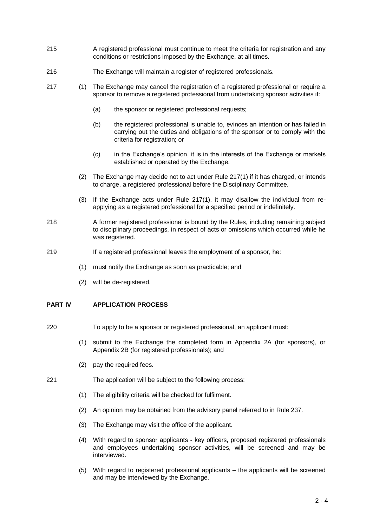- 215 A registered professional must continue to meet the criteria for registration and any conditions or restrictions imposed by the Exchange, at all times.
- 216 The Exchange will maintain a register of registered professionals.
- 217 (1) The Exchange may cancel the registration of a registered professional or require a sponsor to remove a registered professional from undertaking sponsor activities if:
	- (a) the sponsor or registered professional requests;
	- (b) the registered professional is unable to, evinces an intention or has failed in carrying out the duties and obligations of the sponsor or to comply with the criteria for registration; or
	- (c) in the Exchange's opinion, it is in the interests of the Exchange or markets established or operated by the Exchange.
	- (2) The Exchange may decide not to act under Rule 217(1) if it has charged, or intends to charge, a registered professional before the Disciplinary Committee.
	- (3) If the Exchange acts under Rule 217(1), it may disallow the individual from reapplying as a registered professional for a specified period or indefinitely.
- 218 A former registered professional is bound by the Rules, including remaining subject to disciplinary proceedings, in respect of acts or omissions which occurred while he was registered.
- 219 If a registered professional leaves the employment of a sponsor, he:
	- (1) must notify the Exchange as soon as practicable; and
	- (2) will be de-registered.

## **PART IV APPLICATION PROCESS**

- 220 To apply to be a sponsor or registered professional, an applicant must:
	- (1) submit to the Exchange the completed form in Appendix 2A (for sponsors), or Appendix 2B (for registered professionals); and
	- (2) pay the required fees.
- 221 The application will be subject to the following process:
	- (1) The eligibility criteria will be checked for fulfilment.
	- (2) An opinion may be obtained from the advisory panel referred to in Rule 237.
	- (3) The Exchange may visit the office of the applicant.
	- (4) With regard to sponsor applicants key officers, proposed registered professionals and employees undertaking sponsor activities, will be screened and may be interviewed.
	- (5) With regard to registered professional applicants the applicants will be screened and may be interviewed by the Exchange.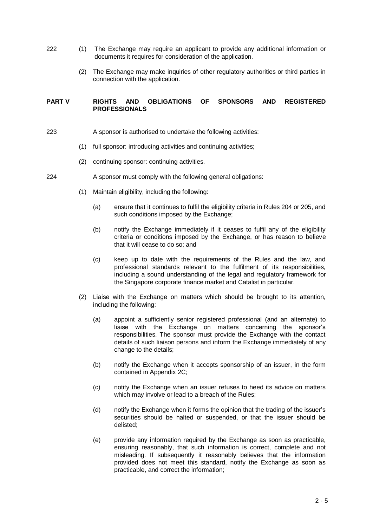- 222 (1) The Exchange may require an applicant to provide any additional information or documents it requires for consideration of the application.
	- (2) The Exchange may make inquiries of other regulatory authorities or third parties in connection with the application.

#### **PART V RIGHTS AND OBLIGATIONS OF SPONSORS AND REGISTERED PROFESSIONALS**

- 223 A sponsor is authorised to undertake the following activities:
	- (1) full sponsor: introducing activities and continuing activities;
	- (2) continuing sponsor: continuing activities.
- 224 A sponsor must comply with the following general obligations:
	- (1) Maintain eligibility, including the following:
		- (a) ensure that it continues to fulfil the eligibility criteria in Rules 204 or 205, and such conditions imposed by the Exchange;
		- (b) notify the Exchange immediately if it ceases to fulfil any of the eligibility criteria or conditions imposed by the Exchange, or has reason to believe that it will cease to do so; and
		- (c) keep up to date with the requirements of the Rules and the law, and professional standards relevant to the fulfilment of its responsibilities, including a sound understanding of the legal and regulatory framework for the Singapore corporate finance market and Catalist in particular.
	- (2) Liaise with the Exchange on matters which should be brought to its attention, including the following:
		- (a) appoint a sufficiently senior registered professional (and an alternate) to liaise with the Exchange on matters concerning the sponsor's responsibilities. The sponsor must provide the Exchange with the contact details of such liaison persons and inform the Exchange immediately of any change to the details;
		- (b) notify the Exchange when it accepts sponsorship of an issuer, in the form contained in Appendix 2C;
		- (c) notify the Exchange when an issuer refuses to heed its advice on matters which may involve or lead to a breach of the Rules;
		- (d) notify the Exchange when it forms the opinion that the trading of the issuer's securities should be halted or suspended, or that the issuer should be delisted;
		- (e) provide any information required by the Exchange as soon as practicable, ensuring reasonably, that such information is correct, complete and not misleading. If subsequently it reasonably believes that the information provided does not meet this standard, notify the Exchange as soon as practicable, and correct the information;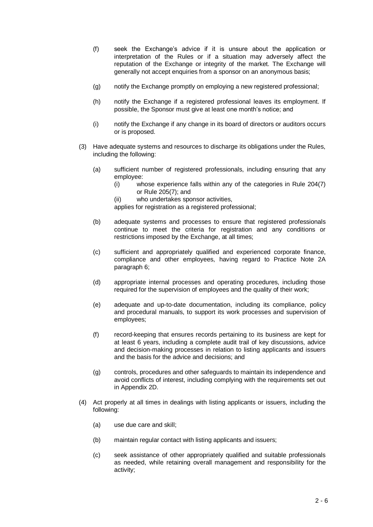- (f) seek the Exchange's advice if it is unsure about the application or interpretation of the Rules or if a situation may adversely affect the reputation of the Exchange or integrity of the market. The Exchange will generally not accept enquiries from a sponsor on an anonymous basis;
- (g) notify the Exchange promptly on employing a new registered professional;
- (h) notify the Exchange if a registered professional leaves its employment. If possible, the Sponsor must give at least one month's notice; and
- (i) notify the Exchange if any change in its board of directors or auditors occurs or is proposed.
- (3) Have adequate systems and resources to discharge its obligations under the Rules, including the following:
	- (a) sufficient number of registered professionals, including ensuring that any employee:
		- (i) whose experience falls within any of the categories in Rule 204(7) or Rule 205(7); and
		- (ii) who undertakes sponsor activities,
		- applies for registration as a registered professional;
	- (b) adequate systems and processes to ensure that registered professionals continue to meet the criteria for registration and any conditions or restrictions imposed by the Exchange, at all times;
	- (c) sufficient and appropriately qualified and experienced corporate finance, compliance and other employees, having regard to Practice Note 2A paragraph 6;
	- (d) appropriate internal processes and operating procedures, including those required for the supervision of employees and the quality of their work;
	- (e) adequate and up-to-date documentation, including its compliance, policy and procedural manuals, to support its work processes and supervision of employees;
	- (f) record-keeping that ensures records pertaining to its business are kept for at least 6 years, including a complete audit trail of key discussions, advice and decision-making processes in relation to listing applicants and issuers and the basis for the advice and decisions; and
	- (g) controls, procedures and other safeguards to maintain its independence and avoid conflicts of interest, including complying with the requirements set out in Appendix 2D.
- (4) Act properly at all times in dealings with listing applicants or issuers, including the following:
	- (a) use due care and skill;
	- (b) maintain regular contact with listing applicants and issuers;
	- (c) seek assistance of other appropriately qualified and suitable professionals as needed, while retaining overall management and responsibility for the activity;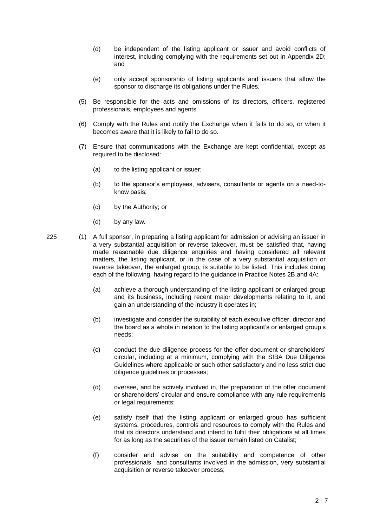- (d) be independent of the listing applicant or issuer and avoid conflicts of interest, including complying with the requirements set out in Appendix 2D; and
- (e) only accept sponsorship of listing applicants and issuers that allow the sponsor to discharge its obligations under the Rules.
- (5) Be responsible for the acts and omissions of its directors, officers, registered professionals, employees and agents.
- (6) Comply with the Rules and notify the Exchange when it fails to do so, or when it becomes aware that it is likely to fail to do so.
- (7) Ensure that communications with the Exchange are kept confidential, except as required to be disclosed:
	- (a) to the listing applicant or issuer;
	- (b) to the sponsor's employees, advisers, consultants or agents on a need-toknow basis;
	- (c) by the Authority; or
	- (d) by any law.

- 225 (1) A full sponsor, in preparing a listing applicant for admission or advising an issuer in a very substantial acquisition or reverse takeover, must be satisfied that, having made reasonable due diligence enquiries and having considered all relevant matters, the listing applicant, or in the case of a very substantial acquisition or reverse takeover, the enlarged group, is suitable to be listed. This includes doing each of the following, having regard to the guidance in Practice Notes 2B and 4A:
	- (a) achieve a thorough understanding of the listing applicant or enlarged group and its business, including recent major developments relating to it, and gain an understanding of the industry it operates in;
	- (b) investigate and consider the suitability of each executive officer, director and the board as a whole in relation to the listing applicant's or enlarged group's needs;
	- (c) conduct the due diligence process for the offer document or shareholders' circular, including at a minimum, complying with the SIBA Due Diligence Guidelines where applicable or such other satisfactory and no less strict due diligence guidelines or processes;
	- (d) oversee, and be actively involved in, the preparation of the offer document or shareholders' circular and ensure compliance with any rule requirements or legal requirements;
	- (e) satisfy itself that the listing applicant or enlarged group has sufficient systems, procedures, controls and resources to comply with the Rules and that its directors understand and intend to fulfil their obligations at all times for as long as the securities of the issuer remain listed on Catalist;
	- (f) consider and advise on the suitability and competence of other professionals and consultants involved in the admission, very substantial acquisition or reverse takeover process;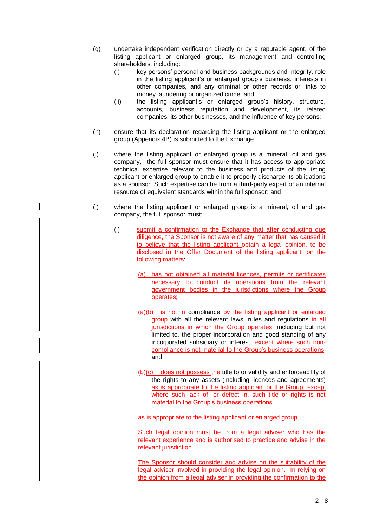- (g) undertake independent verification directly or by a reputable agent, of the listing applicant or enlarged group, its management and controlling shareholders, including:
	- (i) key persons' personal and business backgrounds and integrity, role in the listing applicant's or enlarged group's business, interests in other companies, and any criminal or other records or links to money laundering or organized crime; and
	- (ii) the listing applicant's or enlarged group's history, structure, accounts, business reputation and development, its related companies, its other businesses, and the influence of key persons;
- (h) ensure that its declaration regarding the listing applicant or the enlarged group (Appendix 4B) is submitted to the Exchange.
- (i) where the listing applicant or enlarged group is a mineral, oil and gas company, the full sponsor must ensure that it has access to appropriate technical expertise relevant to the business and products of the listing applicant or enlarged group to enable it to properly discharge its obligations as a sponsor. Such expertise can be from a third-party expert or an internal resource of equivalent standards within the full sponsor; and
- (j) where the listing applicant or enlarged group is a mineral, oil and gas company, the full sponsor must:
	- (i) submit a confirmation to the Exchange that after conducting due diligence, the Sponsor is not aware of any matter that has caused it to believe that the listing applicant obtain a legal opinion, to be disclosed in the Offer Document of the listing applicant, on the following matters:
		- (a) has not obtained all material licences, permits or certificates necessary to conduct its operations from the relevant government bodies in the jurisdictions where the Group operates;
		- $(a)(b)$  is not in compliance by the listing applicant or enlarged group with all the relevant laws, rules and regulations in all jurisdictions in which the Group operates, including but not limited to, the proper incorporation and good standing of any incorporated subsidiary or interest, except where such noncompliance is not material to the Group's business operations; and
		- $(b)(c)$  does not possess the title to or validity and enforceability of the rights to any assets (including licences and agreements) as is appropriate to the listing applicant or the Group, except where such lack of, or defect in, such title or rights is not material to the Group's business operations.-

as is appropriate to the listing applicant or enlarged group.

Such legal opinion must be from a legal adviser who has the relevant experience and is authorised to practice and advise in the relevant jurisdiction.

The Sponsor should consider and advise on the suitability of the legal adviser involved in providing the legal opinion. In relying on the opinion from a legal adviser in providing the confirmation to the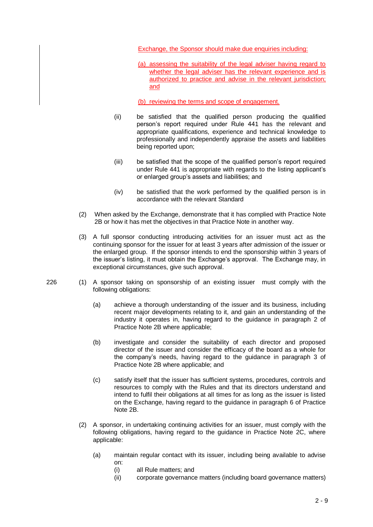Exchange, the Sponsor should make due enquiries including:

- (a) assessing the suitability of the legal adviser having regard to whether the legal adviser has the relevant experience and is authorized to practice and advise in the relevant jurisdiction; and
- (b) reviewing the terms and scope of engagement.
- (ii) be satisfied that the qualified person producing the qualified person's report required under Rule 441 has the relevant and appropriate qualifications, experience and technical knowledge to professionally and independently appraise the assets and liabilities being reported upon;
- (iii) be satisfied that the scope of the qualified person's report required under Rule 441 is appropriate with regards to the listing applicant's or enlarged group's assets and liabilities; and
- (iv) be satisfied that the work performed by the qualified person is in accordance with the relevant Standard
- (2) When asked by the Exchange, demonstrate that it has complied with Practice Note 2B or how it has met the objectives in that Practice Note in another way.
- (3) A full sponsor conducting introducing activities for an issuer must act as the continuing sponsor for the issuer for at least 3 years after admission of the issuer or the enlarged group. If the sponsor intends to end the sponsorship within 3 years of the issuer's listing, it must obtain the Exchange's approval. The Exchange may, in exceptional circumstances, give such approval.
- 226 (1) A sponsor taking on sponsorship of an existing issuer must comply with the following obligations:
	- (a) achieve a thorough understanding of the issuer and its business, including recent major developments relating to it, and gain an understanding of the industry it operates in, having regard to the guidance in paragraph 2 of Practice Note 2B where applicable;
	- (b) investigate and consider the suitability of each director and proposed director of the issuer and consider the efficacy of the board as a whole for the company's needs, having regard to the guidance in paragraph 3 of Practice Note 2B where applicable; and
	- (c) satisfy itself that the issuer has sufficient systems, procedures, controls and resources to comply with the Rules and that its directors understand and intend to fulfil their obligations at all times for as long as the issuer is listed on the Exchange, having regard to the guidance in paragraph 6 of Practice Note 2B.
	- (2) A sponsor, in undertaking continuing activities for an issuer, must comply with the following obligations, having regard to the guidance in Practice Note 2C, where applicable:
		- (a) maintain regular contact with its issuer, including being available to advise on:
			- (i) all Rule matters; and
			- (ii) corporate governance matters (including board governance matters)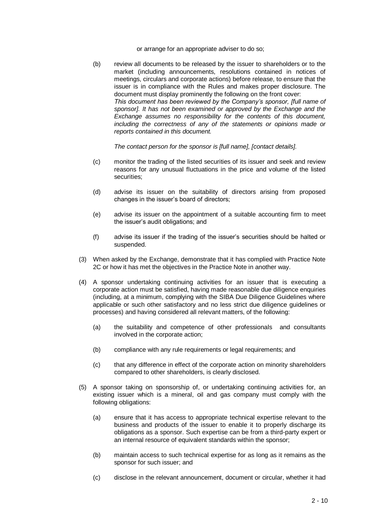or arrange for an appropriate adviser to do so;

(b) review all documents to be released by the issuer to shareholders or to the market (including announcements, resolutions contained in notices of meetings, circulars and corporate actions) before release, to ensure that the issuer is in compliance with the Rules and makes proper disclosure. The document must display prominently the following on the front cover: *This document has been reviewed by the Company's sponsor, [full name of sponsor]. It has not been examined or approved by the Exchange and the Exchange assumes no responsibility for the contents of this document, including the correctness of any of the statements or opinions made or reports contained in this document.*

*The contact person for the sponsor is [full name], [contact details].*

- (c) monitor the trading of the listed securities of its issuer and seek and review reasons for any unusual fluctuations in the price and volume of the listed securities;
- (d) advise its issuer on the suitability of directors arising from proposed changes in the issuer's board of directors;
- (e) advise its issuer on the appointment of a suitable accounting firm to meet the issuer's audit obligations; and
- (f) advise its issuer if the trading of the issuer's securities should be halted or suspended.
- (3) When asked by the Exchange, demonstrate that it has complied with Practice Note 2C or how it has met the objectives in the Practice Note in another way.
- (4) A sponsor undertaking continuing activities for an issuer that is executing a corporate action must be satisfied, having made reasonable due diligence enquiries (including, at a minimum, complying with the SIBA Due Diligence Guidelines where applicable or such other satisfactory and no less strict due diligence guidelines or processes) and having considered all relevant matters, of the following:
	- (a) the suitability and competence of other professionals and consultants involved in the corporate action;
	- (b) compliance with any rule requirements or legal requirements; and
	- (c) that any difference in effect of the corporate action on minority shareholders compared to other shareholders, is clearly disclosed.
- (5) A sponsor taking on sponsorship of, or undertaking continuing activities for, an existing issuer which is a mineral, oil and gas company must comply with the following obligations:
	- (a) ensure that it has access to appropriate technical expertise relevant to the business and products of the issuer to enable it to properly discharge its obligations as a sponsor. Such expertise can be from a third-party expert or an internal resource of equivalent standards within the sponsor;
	- (b) maintain access to such technical expertise for as long as it remains as the sponsor for such issuer; and
	- (c) disclose in the relevant announcement, document or circular, whether it had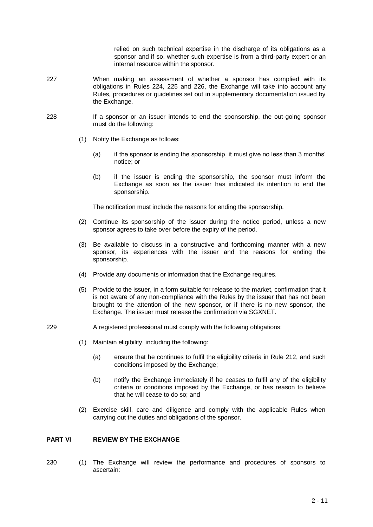relied on such technical expertise in the discharge of its obligations as a sponsor and if so, whether such expertise is from a third-party expert or an internal resource within the sponsor.

- 227 When making an assessment of whether a sponsor has complied with its obligations in Rules 224, 225 and 226, the Exchange will take into account any Rules, procedures or guidelines set out in supplementary documentation issued by the Exchange.
- 228 If a sponsor or an issuer intends to end the sponsorship, the out-going sponsor must do the following:
	- (1) Notify the Exchange as follows:
		- (a) if the sponsor is ending the sponsorship, it must give no less than 3 months' notice; or
		- (b) if the issuer is ending the sponsorship, the sponsor must inform the Exchange as soon as the issuer has indicated its intention to end the sponsorship.

The notification must include the reasons for ending the sponsorship.

- (2) Continue its sponsorship of the issuer during the notice period, unless a new sponsor agrees to take over before the expiry of the period.
- (3) Be available to discuss in a constructive and forthcoming manner with a new sponsor, its experiences with the issuer and the reasons for ending the sponsorship.
- (4) Provide any documents or information that the Exchange requires.
- (5) Provide to the issuer, in a form suitable for release to the market, confirmation that it is not aware of any non-compliance with the Rules by the issuer that has not been brought to the attention of the new sponsor, or if there is no new sponsor, the Exchange. The issuer must release the confirmation via SGXNET.
- 229 A registered professional must comply with the following obligations:
	- (1) Maintain eligibility, including the following:
		- (a) ensure that he continues to fulfil the eligibility criteria in Rule 212, and such conditions imposed by the Exchange;
		- (b) notify the Exchange immediately if he ceases to fulfil any of the eligibility criteria or conditions imposed by the Exchange, or has reason to believe that he will cease to do so; and
	- (2) Exercise skill, care and diligence and comply with the applicable Rules when carrying out the duties and obligations of the sponsor.

#### **PART VI REVIEW BY THE EXCHANGE**

230 (1) The Exchange will review the performance and procedures of sponsors to ascertain: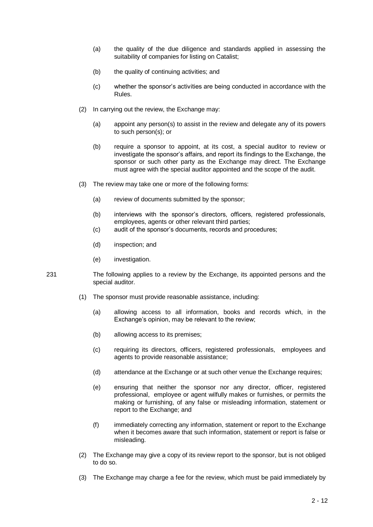- (a) the quality of the due diligence and standards applied in assessing the suitability of companies for listing on Catalist;
- (b) the quality of continuing activities; and
- (c) whether the sponsor's activities are being conducted in accordance with the Rules.
- (2) In carrying out the review, the Exchange may:
	- (a) appoint any person(s) to assist in the review and delegate any of its powers to such person(s); or
	- (b) require a sponsor to appoint, at its cost, a special auditor to review or investigate the sponsor's affairs, and report its findings to the Exchange, the sponsor or such other party as the Exchange may direct. The Exchange must agree with the special auditor appointed and the scope of the audit.
- (3) The review may take one or more of the following forms:
	- (a) review of documents submitted by the sponsor;
	- (b) interviews with the sponsor's directors, officers, registered professionals, employees, agents or other relevant third parties;
	- (c) audit of the sponsor's documents, records and procedures;
	- (d) inspection; and
	- (e) investigation.
- 231 The following applies to a review by the Exchange, its appointed persons and the special auditor.
	- (1) The sponsor must provide reasonable assistance, including:
		- (a) allowing access to all information, books and records which, in the Exchange's opinion, may be relevant to the review;
		- (b) allowing access to its premises;
		- (c) requiring its directors, officers, registered professionals, employees and agents to provide reasonable assistance;
		- (d) attendance at the Exchange or at such other venue the Exchange requires;
		- (e) ensuring that neither the sponsor nor any director, officer, registered professional, employee or agent wilfully makes or furnishes, or permits the making or furnishing, of any false or misleading information, statement or report to the Exchange; and
		- (f) immediately correcting any information, statement or report to the Exchange when it becomes aware that such information, statement or report is false or misleading.
	- (2) The Exchange may give a copy of its review report to the sponsor, but is not obliged to do so.
	- (3) The Exchange may charge a fee for the review, which must be paid immediately by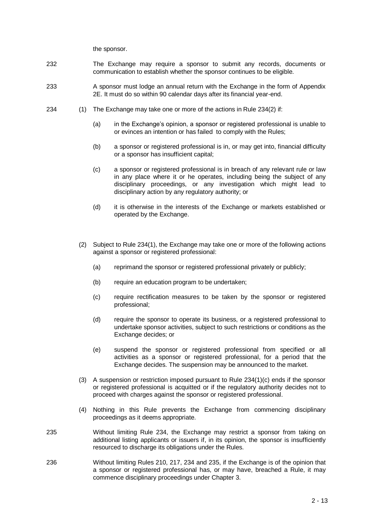the sponsor.

- 232 The Exchange may require a sponsor to submit any records, documents or communication to establish whether the sponsor continues to be eligible.
- 233 A sponsor must lodge an annual return with the Exchange in the form of Appendix 2E. It must do so within 90 calendar days after its financial year-end.
- 234 (1) The Exchange may take one or more of the actions in Rule 234(2) if:
	- (a) in the Exchange's opinion, a sponsor or registered professional is unable to or evinces an intention or has failed to comply with the Rules;
	- (b) a sponsor or registered professional is in, or may get into, financial difficulty or a sponsor has insufficient capital;
	- (c) a sponsor or registered professional is in breach of any relevant rule or law in any place where it or he operates, including being the subject of any disciplinary proceedings, or any investigation which might lead to disciplinary action by any regulatory authority; or
	- (d) it is otherwise in the interests of the Exchange or markets established or operated by the Exchange.
	- (2) Subject to Rule 234(1), the Exchange may take one or more of the following actions against a sponsor or registered professional:
		- (a) reprimand the sponsor or registered professional privately or publicly;
		- (b) require an education program to be undertaken;
		- (c) require rectification measures to be taken by the sponsor or registered professional;
		- (d) require the sponsor to operate its business, or a registered professional to undertake sponsor activities, subject to such restrictions or conditions as the Exchange decides; or
		- (e) suspend the sponsor or registered professional from specified or all activities as a sponsor or registered professional, for a period that the Exchange decides. The suspension may be announced to the market.
	- (3) A suspension or restriction imposed pursuant to Rule 234(1)(c) ends if the sponsor or registered professional is acquitted or if the regulatory authority decides not to proceed with charges against the sponsor or registered professional.
	- (4) Nothing in this Rule prevents the Exchange from commencing disciplinary proceedings as it deems appropriate.
- 235 Without limiting Rule 234, the Exchange may restrict a sponsor from taking on additional listing applicants or issuers if, in its opinion, the sponsor is insufficiently resourced to discharge its obligations under the Rules.
- 236 Without limiting Rules 210, 217, 234 and 235, if the Exchange is of the opinion that a sponsor or registered professional has, or may have, breached a Rule, it may commence disciplinary proceedings under Chapter 3.